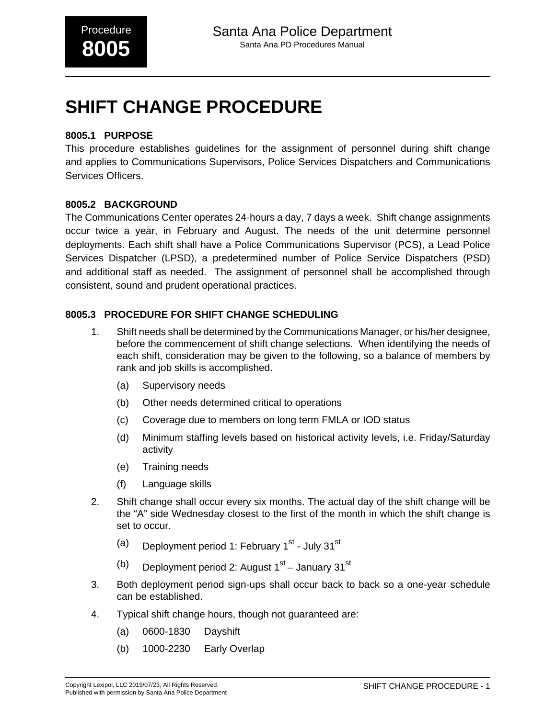# **SHIFT CHANGE PROCEDURE**

### **8005.1 PURPOSE**

This procedure establishes guidelines for the assignment of personnel during shift change and applies to Communications Supervisors, Police Services Dispatchers and Communications Services Officers.

### **8005.2 BACKGROUND**

The Communications Center operates 24-hours a day, 7 days a week. Shift change assignments occur twice a year, in February and August. The needs of the unit determine personnel deployments. Each shift shall have a Police Communications Supervisor (PCS), a Lead Police Services Dispatcher (LPSD), a predetermined number of Police Service Dispatchers (PSD) and additional staff as needed. The assignment of personnel shall be accomplished through consistent, sound and prudent operational practices.

## **8005.3 PROCEDURE FOR SHIFT CHANGE SCHEDULING**

- 1. Shift needs shall be determined by the Communications Manager, or his/her designee, before the commencement of shift change selections. When identifying the needs of each shift, consideration may be given to the following, so a balance of members by rank and job skills is accomplished.
	- (a) Supervisory needs
	- (b) Other needs determined critical to operations
	- (c) Coverage due to members on long term FMLA or IOD status
	- (d) Minimum staffing levels based on historical activity levels, i.e. Friday/Saturday activity
	- (e) Training needs
	- (f) Language skills
- 2. Shift change shall occur every six months. The actual day of the shift change will be the "A" side Wednesday closest to the first of the month in which the shift change is set to occur.
	- (a) Deployment period 1: February  $1<sup>st</sup>$  July 31<sup>st</sup>
	- (b) Deployment period 2: August  $1<sup>st</sup>$  January 31 $<sup>st</sup>$ </sup>
- 3. Both deployment period sign-ups shall occur back to back so a one-year schedule can be established.
- 4. Typical shift change hours, though not guaranteed are:
	- (a) 0600-1830 Dayshift
	- (b) 1000-2230 Early Overlap